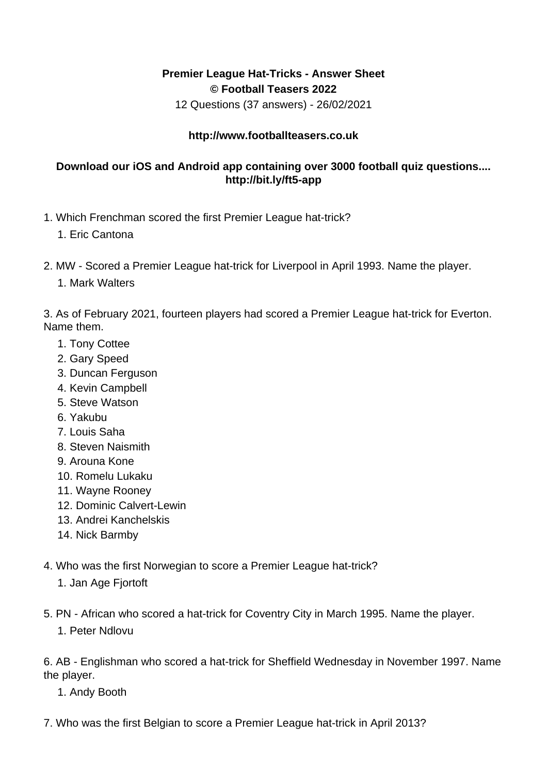## **Premier League Hat-Tricks - Answer Sheet © Football Teasers 2022**

12 Questions (37 answers) - 26/02/2021

## **http://www.footballteasers.co.uk**

## **Download our iOS and Android app containing over 3000 football quiz questions.... http://bit.ly/ft5-app**

- 1. Which Frenchman scored the first Premier League hat-trick?
	- 1. Eric Cantona
- 2. MW Scored a Premier League hat-trick for Liverpool in April 1993. Name the player.
	- 1. Mark Walters

3. As of February 2021, fourteen players had scored a Premier League hat-trick for Everton. Name them.

- 1. Tony Cottee
- 2. Gary Speed
- 3. Duncan Ferguson
- 4. Kevin Campbell
- 5. Steve Watson
- 6. Yakubu
- 7. Louis Saha
- 8. Steven Naismith
- 9. Arouna Kone
- 10. Romelu Lukaku
- 11. Wayne Rooney
- 12. Dominic Calvert-Lewin
- 13. Andrei Kanchelskis
- 14. Nick Barmby
- 4. Who was the first Norwegian to score a Premier League hat-trick?
	- 1. Jan Age Fjortoft
- 5. PN African who scored a hat-trick for Coventry City in March 1995. Name the player.
	- 1. Peter Ndlovu

6. AB - Englishman who scored a hat-trick for Sheffield Wednesday in November 1997. Name the player.

- 1. Andy Booth
- 7. Who was the first Belgian to score a Premier League hat-trick in April 2013?